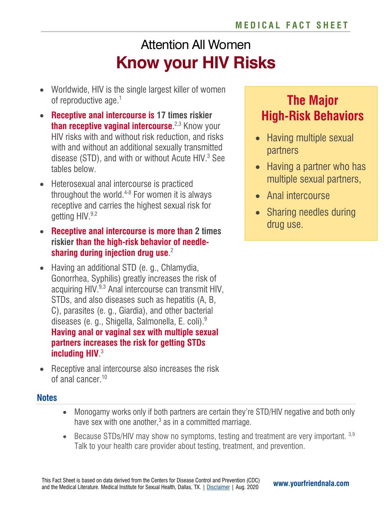# Attention All Women **Know your HIV Risks**

- Worldwide, HIV is the single largest killer of women of reproductive age.<sup>1</sup>
- **Receptive anal intercourse is 17 times riskier than receptive vaginal intercourse**. 2,3 Know your HIV risks with and without risk reduction, and risks with and without an additional sexually transmitted disease (STD), and with or without Acute  $HIV<sup>3</sup>$  See tables below.
- Heterosexual anal intercourse is practiced throughout the world. $4-8$  For women it is always receptive and carries the highest sexual risk for getting HIV.<sup>9,2</sup>
- **Receptive anal intercourse is more than 2 times riskier than the high-risk behavior of needlesharing during injection drug use**. 2
- Having an additional STD (e. g., Chlamydia, Gonorrhea, Syphilis) greatly increases the risk of acquiring HIV.<sup>9,3</sup> Anal intercourse can transmit HIV. STDs, and also diseases such as hepatitis (A, B, C), parasites (e. g., Giardia), and other bacterial diseases (e. g., Shigella, Salmonella, E. coli).9 **Having anal or vaginal sex with multiple sexual partners increases the risk for getting STDs including HIV**. 3
- Receptive anal intercourse also increases the risk of anal cancer.10

## **The Major High-Risk Behaviors**

- Having multiple sexual partners
- Having a partner who has multiple sexual partners,
- Anal intercourse
- Sharing needles during drug use.

### **Notes**

- Monogamy works only if both partners are certain they're STD/HIV negative and both only have sex with one another, $3$  as in a committed marriage.
- Because STDs/HIV may show no symptoms, testing and treatment are very important.  $3,9$ Talk to your health care provider about testing, treatment, and prevention.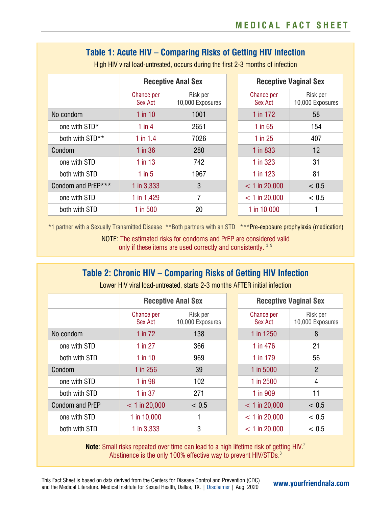## **Table 1: Acute HIV – Comparing Risks of Getting HIV Infection**

|                    | <b>Receptive Anal Sex</b> |                              |                              | <b>Receptive Vaginal Sex</b> |  |
|--------------------|---------------------------|------------------------------|------------------------------|------------------------------|--|
|                    | Chance per<br>Sex Act     | Risk per<br>10,000 Exposures | Chance per<br><b>Sex Act</b> | Risk per<br>10,000 Exposures |  |
| No condom          | $1$ in $10$               | 1001                         | 1 in 172                     | 58                           |  |
| one with STD*      | $1$ in $4$                | 2651                         | $1$ in 65                    | 154                          |  |
| both with STD**    | $1$ in $1.4$              | 7026                         | $1$ in 25                    | 407                          |  |
| Condom             | $1$ in 36                 | 280                          | 1 in 833                     | 12                           |  |
| one with STD       | $1$ in 13                 | 742                          | 1 in 323                     | 31                           |  |
| both with STD      | $1$ in 5                  | 1967                         | $1$ in 123                   | 81                           |  |
| Condom and PrEP*** | 1 in $3,333$              | 3                            | $< 1$ in 20,000              | < 0.5                        |  |
| one with STD       | 1 in 1,429                | 7                            | $< 1$ in 20,000              | < 0.5                        |  |
| both with STD      | $1$ in 500                | 20                           | 1 in 10,000                  | ┫                            |  |

High HIV viral load-untreated, occurs during the first 2-3 months of infection

\*1 partner with a Sexually Transmitted Disease \*\*Both partners with an STD \*\*\*Pre-exposure prophylaxis (medication)

NOTE: The estimated risks for condoms and PrEP are considered valid only if these items are used correctly and consistently. 39

## **Table 2: Chronic HIV – Comparing Risks of Getting HIV Infection**

|                 | <b>Receptive Anal Sex</b> |                              | <b>Receptive Vaginal Sex</b> |                              |
|-----------------|---------------------------|------------------------------|------------------------------|------------------------------|
|                 | Chance per<br>Sex Act     | Risk per<br>10,000 Exposures | <b>Chance per</b><br>Sex Act | Risk per<br>10,000 Exposures |
| No condom       | $1$ in $72$               | 138                          | 1 in 1250                    | 8                            |
| one with STD    | $1$ in 27                 | 366                          | 1 in 476                     | 21                           |
| both with STD   | $1$ in $10$               | 969                          | 1 in 179                     | 56                           |
| Condom          | $1$ in 256                | 39                           | 1 in 5000                    | $\overline{2}$               |
| one with STD    | 1 in 98                   | 102                          | 1 in 2500                    | 4                            |
| both with STD   | $1$ in 37                 | 271                          | 1 in 909                     | 11                           |
| Condom and PrEP | $< 1$ in 20,000           | < 0.5                        | $< 1$ in 20,000              | < 0.5                        |
| one with STD    | 1 in 10,000               |                              | $< 1$ in 20,000              | < 0.5                        |
| both with STD   | 1 in $3,333$              | 3                            | $< 1$ in 20,000              | < 0.5                        |

Lower HIV viral load-untreated, starts 2-3 months AFTER initial infection

**Note:** Small risks repeated over time can lead to a high lifetime risk of getting HIV.<sup>2</sup> Abstinence is the only 100% effective way to prevent HIV/STDs.<sup>3</sup>

This Fact Sheet is based on data derived from the Centers for Disease Control and Prevention (CDC) and the Medical Literature. Medical Institute for Sexual Health, Dallas, TX. <sup>|</sup> [Disclaimer](https://www.yourfriendnala.com/disclaimer/) | Aug. 2020 **[www.yourfriendnala.com](https://www.yourfriendnala.com/disclaimer/)**